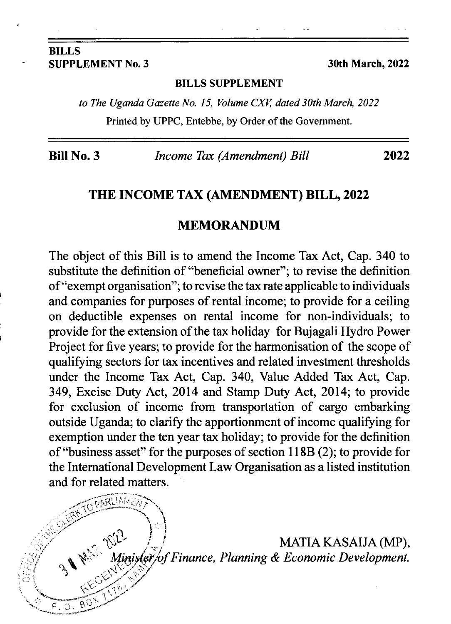#### BILLS SUPPLEMENT No. 3 30th March, 2022

 $K$  parliamed

'rr t-1

\$ !..'. ..,+

 $\mathcal{L}$ 

 $p. 0. 8$ 

#### BILLS SUPPLEMENT

to The Uganda Gazette No. 15, Volume CXV, dated 30th March, 2022 Printed by UPPC, Entebbe, by Order of the Government.

Bill No. 3 *Income Tax (Amendment) Bill* 2022

### THE INCOME TAX (AMENDMENT) BILL, 2022

## MEMORANDUM

The object of this Bill is to amend the Income Tax Act, Cap. 340 to substitute the definition of "beneficial owner"; to revise the definition of "exempt organisation"; to revise the tax rate applicable to individuals and companies for purposes of rental income; to provide for a ceiling on deductible expenses on rental income for non-individuals; to provide for the extension of the tax holiday for Bujagali Hydro Power Project for five years; to provide for the harmonisation of the scope of qualiffing sectors for tax incentives and related investment thresholds under the Income Tax Act, Cap. 340, Value Added Tax Act, Cap. 349, Excise Duty Act, 2014 and Stamp Duty Act, 2014; to provide for exclusion of income from transportation of cargo embarking outside Uganda; to clarify the apportionment of income qualifying for exemption under the ten year tax holiday; to provide for the definition of"business asset" for the purposes of section I l 8B (2); to provide for the International Development Law Organisation as a listed institution and for related matters.

> $\mathbb{W}^{\mathbb{C}}$  /  $/$  MATIA KASAIJA (MP),  $\frac{P}{P}$  Finance, Planning & Economic Development.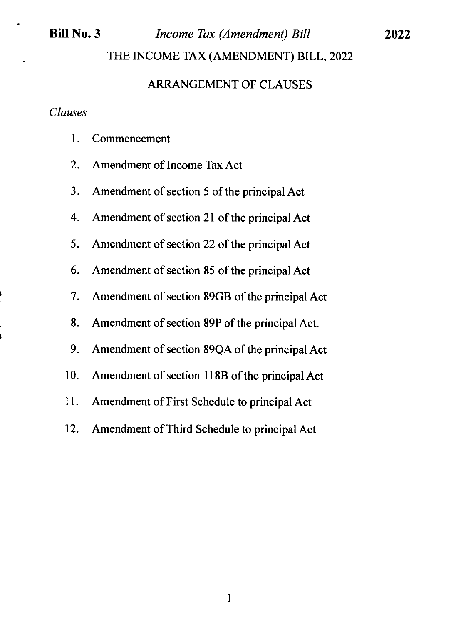# Bill No. 3 *Income Tax (Amendment) Bill* THE INCOME TAX (AMENDMENT) BILL, 2022

2022

## ARRANGEMENT OF CLAUSES

#### Clauses

- l. Commencement
- 2. Amendment of Income Tax Act
- <sup>3</sup>. Amendment of section 5 of the principal Act
- 4. Amendment of section 2l of the principal Act
- 5. Amendment of section 22 of the principal Act
- 6. Amendment of section 85 of the principal Act
- <sup>7</sup>. Amendment of section 89GB of the principal Act
- 8. Amendment of section 89P of the principal Act.
- <sup>9</sup>. Amendment of section 89QA of the principal Act
- 10. Amendment of section 118B of the principal Act
- 11. Amendment of First Schedule to principal Act
- 12. Amendment of Third Schedule to principal Act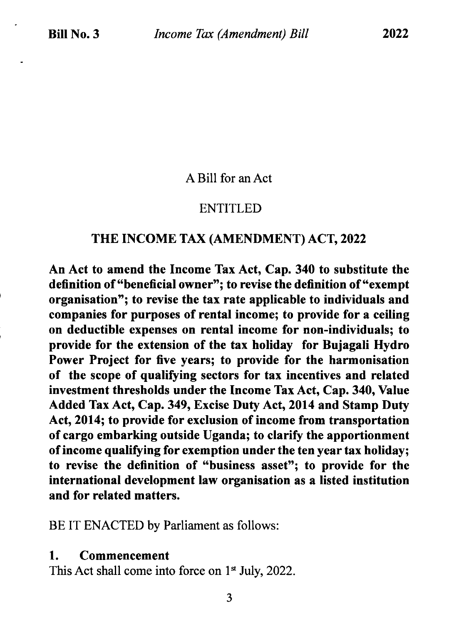A Bill for an Act

## ENTITLED

## THE INCOME TAX (AMENDMENT) ACT,2022

An Act to amend the Income Tax Act, Cap. 340 to substitute the definition of "beneficial owner"; to revise the definition of "exempt organisation"; to revise the tax rate applicable to individuals and companies for purposes of rental income; to provide for a ceiling on deductible expenses on rental income for non-individuals; to provide for the extension of the tax holiday for Bujagali Hydro Power Project for five years; to provide for the harmonisation of the scope of qualifying sectors for tax incentives and related investment thresholds under the Income Tax Act, Cap. 340, Value Added Tax Act, Cap.349, Excise Duty Act, 2014 and Stamp Duty Act, 2014; to provide for exclusion of income from transportation of cargo embarking outside Uganda; to clarify the apportionment of income qualifying for exemption under the ten year tax holiday; to revise the definition of "business asset"; to provide for the international development law organisation as a listed institution and for related matters.

BE IT ENACTED by Parliament as follows:

### 1. Commencement

This Act shall come into force on  $1<sup>st</sup>$  July, 2022.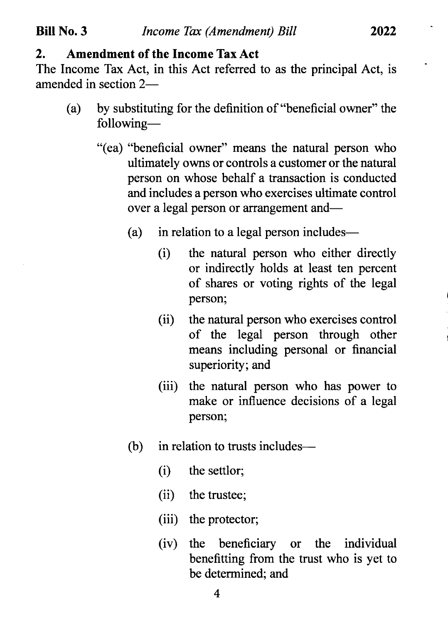## 2. Amendment of the Income Tax Act

The Income Tax Act, in this Act referred to as the principal Act, is amended in section 2-

- (a) by substituting for the definition of "beneficial owner" the following-
	- "(ea) "beneficial owner" means the natural person who ultimately owns or controls a customer or the natural person on whose behalf a transaction is conducted and includes a person who exercises ultimate control over a legal person or arrangement and-
		- (a) in relation to a legal person includes-
			- (i) the natural person who either directly or indirectly holds at least ten percent of shares or voting rights of the legal person;
			- (ii) the natural person who exercises control of the legal person through other means including personal or financial superiority; and
			- (iii) the natural person who has power to make or influence decisions of a legal person;
		- (b) in relation to trusts includes—
			- (i) the settlor;
			- (ii) the trustee;
			- (iii) the protector;
			- (iv) the beneficiary or the individual benefitting from the trust who is yet to be determined; and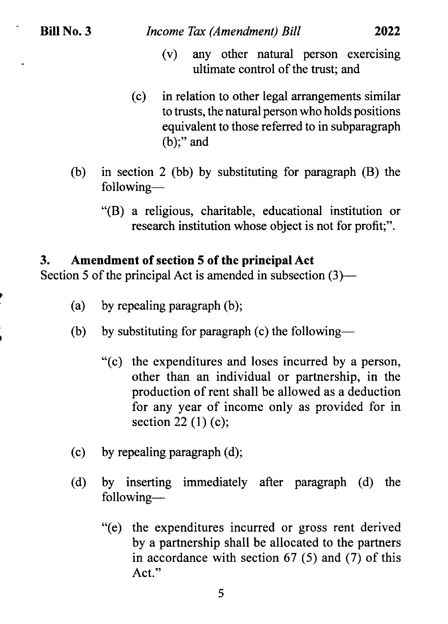$\ddot{\phantom{a}}$ 

,,

- (v) any other natural person exercising ultimate control of the trust; and
- (c) in relation to other legal arrangements similar to trusts, the natural person who holds positions equivalent to those referred to in subparagraph (b);" and
- (b) in section 2 (bb) by substituting for paragraph (B) the following-
	- "(B) a religious, charitable, educational institution or research institution whose object is not for profit;".

## 3. Amendment of section 5 of the principal Act

Section 5 of the principal Act is amended in subsection  $(3)$ —

- (a) by repealing paragraph (b);
- (b) by substituting for paragraph (c) the following-
	- "(c) the expenditures and loses incurred by a person, other than an individual or partnership, in the production of rent shall be allowed as a deduction for any year of income only as provided for in section  $22(1)(c)$ ;
- (c) by repealing paragraph (d);
- (d) by inserting immediately after paragraph (d) the following-
	- "(e) the expenditures incurred or gross rent derived by a partnership shall be allocated to the partners in accordance with section 67 (5) and (7) of this Act."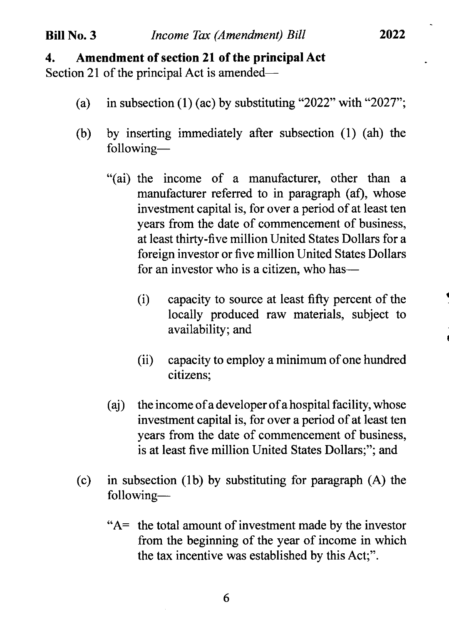## Bill No. 3 *Income Tax (Amendment) Bill*

## 4. Amendment of section 2l of the principal Act

Section 21 of the principal Act is amended—

- (a) in subsection (1) (ac) by substituting "2022" with "2027";
- (b) by inserting immediately after subsection (l) (ah) the following-
	- "(ai) the income of a manufacturer, other than <sup>a</sup> manufacturer referred to in paragraph (af), whose investment capital is, for over a period of at least ten years from the date of commencement of business, at least thirty-five million United States Dollars for a foreign investor or five million United States Dollars for an investor who is a citizen, who has—
		- (i) capacity to source at least fifty percent of the locally produced raw materials, subject to availability; and
		- (ii) capacity to employ a minimum of one hundred citizens;
	- (aj) the income of a developer of a hospital facility, whose investment capital is, for over a period of at least ten years from the date of commencement of business, is at least five million United States Dollars;"; and
- (c) in subsection (1b) by substituting for paragraph (A) the following-
	- " $A$  the total amount of investment made by the investor from the beginning of the year of income in which the tax incentive was established by this Act;".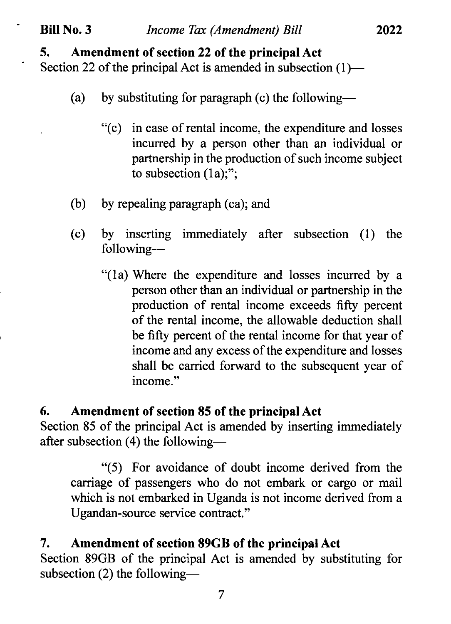Section 22 of the principal Act is amended in subsection  $(1)$ —

- (a) by substituting for paragraph (c) the following-
	- "(c) in case of rental income, the expenditure and losses incurred by a person other than an individual or partnership in the production of such income subject to subsection (1a);";

2022

- (b) by repealing paragraph (ca); and
- (c) by inserting immediately after subsection (1) the following-
	- "(la) Where the expenditure and losses incurred by <sup>a</sup> person other than an individual or partnership in the production of rental income exceeds fifty percent of the rental income, the allowable deduction shall be fifty percent of the rental income for that year of income and any excess of the expenditure and losses shall be carried forward to the subsequent year of income."

# 6. Amendment of section 85 of the principal Act

Section 85 of the principal Act is amended by inserting immediately after subsection (4) the following-

"(5) For avoidance of doubt income derived from the carriage of passengers who do not embark or cargo or mail which is not embarked in Uganda is not income derived from a Ugandan-source service contract."

# 7. Amendment of section 89GB of the principal Act

Section 89GB of the principal Act is amended by substituting for subsection  $(2)$  the following-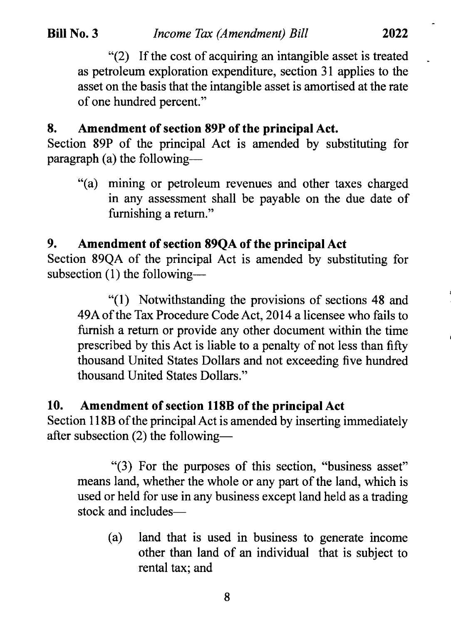\*(2) If the cost of acquiring an intangible asset is treated as petroleum exploration expenditure, section 3l applies to the asset on the basis that the intangible asset is amortised at the rate of one hundred percent."

## 8. Amendment of section 89P of the principal Act.

Section 89P of the principal Act is amended by substituting for paragraph (a) the following-

"(a) mining or petroleum revenues and other taxes charged in any assessment shall be payable on the due date of fumishing a retum."

# 9. Amendment of section 89QA of the principalAct

Section 89QA of the principal Act is amended by substituting for subsection  $(1)$  the following--

"(l) Notwithstanding the provisions of sections 48 and 49A of the Tax Procedure Code Act, 2014 a licensee who fails to furnish a return or provide any other document within the time prescribed by this Act is liable to a penalty of not less than fifty thousand United States Dollars and not exceeding five hundred thousand United States Dollars."

## 10. Amendment of section l18B of the principal Act

Section 118B of the principal Act is amended by inserting immediately after subsection (2) the following-

"(3) For the purposes of this section, "business asset" means land, whether the whole or any part of the land, which is used or held for use in any business except land held as a trading stock and includes-

(a) land that is used in business to generate income other than land of an individual that is subject to rental tax; and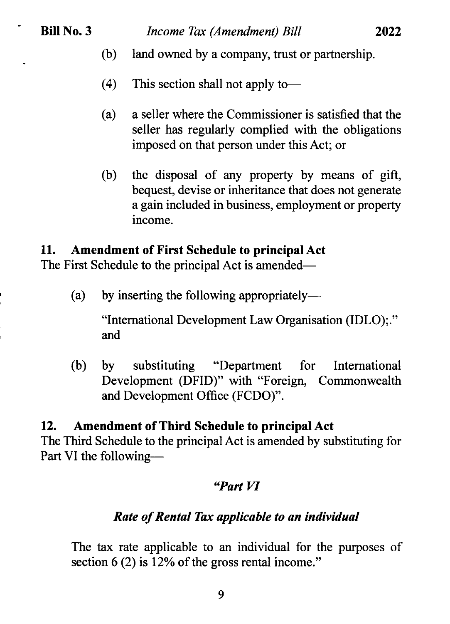- (b) land owned by a company, trust or partnership.
- (4) This section shall not apply to-
- (a) a seller where the Commissioner is satisfied that the seller has regularly complied with the obligations imposed on that person under this Act; or
- (b) the disposal of any property by means of gift, bequest, devise or inheritance that does not generate a gain included in business, employment or property income.

# 11. Amendment of First Schedule to principal Act

The First Schedule to the principal Act is amended—

(a) by inserting the following appropriately-

"International Development Law Organisation (IDLO);." and

(b) by substituting "Department for Development (DFID)" with "Foreign, Commonwealth and Development Office (FCDO)". International

# 12. Amendment of Third Schedule to principal Act

The Third Schedule to the principal Act is amended by substituting for Part VI the following-

# 'Part VI

# Rate of Rental Tax applicable to an individual

The tax rate applicable to an individual for the purposes of section  $6(2)$  is 12% of the gross rental income."